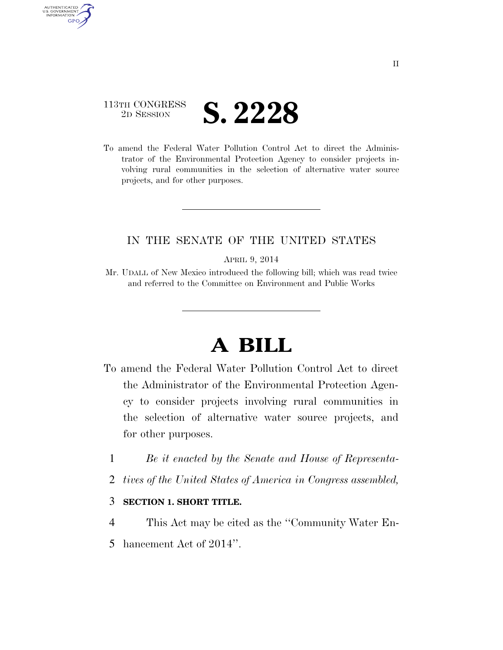## 113TH CONGRESS <sup>2D SESSION</sup> **S. 2228**

AUTHENTICATED U.S. GOVERNMENT GPO

> To amend the Federal Water Pollution Control Act to direct the Administrator of the Environmental Protection Agency to consider projects involving rural communities in the selection of alternative water source projects, and for other purposes.

## IN THE SENATE OF THE UNITED STATES

APRIL 9, 2014

Mr. UDALL of New Mexico introduced the following bill; which was read twice and referred to the Committee on Environment and Public Works

## **A BILL**

- To amend the Federal Water Pollution Control Act to direct the Administrator of the Environmental Protection Agency to consider projects involving rural communities in the selection of alternative water source projects, and for other purposes.
	- 1 *Be it enacted by the Senate and House of Representa-*
	- 2 *tives of the United States of America in Congress assembled,*

## 3 **SECTION 1. SHORT TITLE.**

4 This Act may be cited as the ''Community Water En-5 hancement Act of 2014''.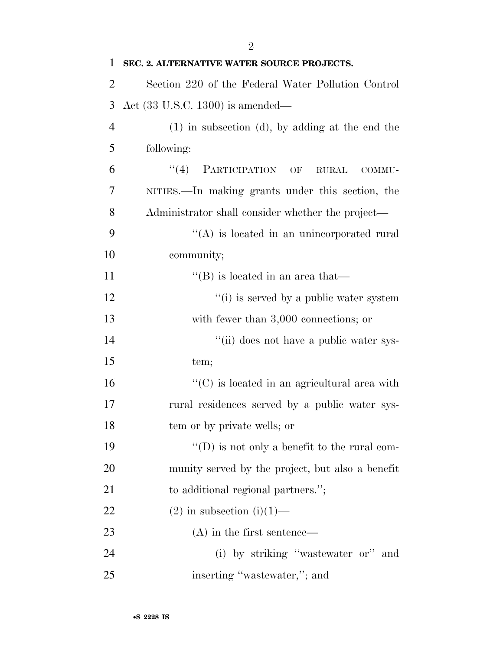| 1              | SEC. 2. ALTERNATIVE WATER SOURCE PROJECTS.           |
|----------------|------------------------------------------------------|
| $\overline{2}$ | Section 220 of the Federal Water Pollution Control   |
| 3              | Act $(33 \text{ U.S.C. } 1300)$ is amended—          |
| $\overline{4}$ | $(1)$ in subsection $(d)$ , by adding at the end the |
| 5              | following:                                           |
| 6              | PARTICIPATION OF<br>(4)<br><b>RURAL</b><br>COMMU-    |
| 7              | NITIES.—In making grants under this section, the     |
| 8              | Administrator shall consider whether the project—    |
| 9              | $\lq\lq$ is located in an unincorporated rural       |
| 10             | community;                                           |
| 11             | $\lq$ (B) is located in an area that—                |
| 12             | "(i) is served by a public water system              |
| 13             | with fewer than $3,000$ connections; or              |
| 14             | "(ii) does not have a public water sys-              |
| 15             | tem;                                                 |
| 16             | $\lq\lq$ (C) is located in an agricultural area with |
| 17             | rural residences served by a public water sys-       |
| 18             | tem or by private wells; or                          |
| 19             | $\lq\lq$ (D) is not only a benefit to the rural com- |
| 20             | munity served by the project, but also a benefit     |
| 21             | to additional regional partners.";                   |
| 22             | $(2)$ in subsection $(i)(1)$ —                       |
| 23             | $(A)$ in the first sentence—                         |
| 24             | (i) by striking "wastewater or" and                  |
| 25             | inserting "wastewater,"; and                         |